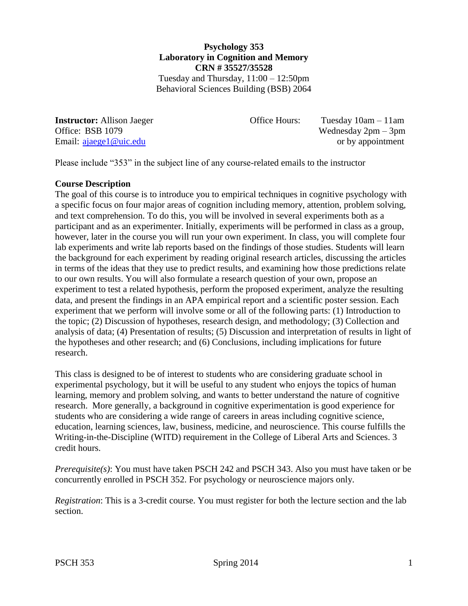### **Psychology 353 Laboratory in Cognition and Memory CRN # 35527/35528** Tuesday and Thursday, 11:00 – 12:50pm

Behavioral Sciences Building (BSB) 2064

**Instructor:** Allison Jaeger **Office Hours:** Tuesday 10am – 11am Office: BSB 1079 Wednesday 2pm – 3pm Email: [ajaege1@uic.edu](mailto:ajaege1@uic.edu) or by appointment

Please include "353" in the subject line of any course-related emails to the instructor

### **Course Description**

The goal of this course is to introduce you to empirical techniques in cognitive psychology with a specific focus on four major areas of cognition including memory, attention, problem solving, and text comprehension. To do this, you will be involved in several experiments both as a participant and as an experimenter. Initially, experiments will be performed in class as a group, however, later in the course you will run your own experiment. In class, you will complete four lab experiments and write lab reports based on the findings of those studies. Students will learn the background for each experiment by reading original research articles, discussing the articles in terms of the ideas that they use to predict results, and examining how those predictions relate to our own results. You will also formulate a research question of your own, propose an experiment to test a related hypothesis, perform the proposed experiment, analyze the resulting data, and present the findings in an APA empirical report and a scientific poster session. Each experiment that we perform will involve some or all of the following parts: (1) Introduction to the topic; (2) Discussion of hypotheses, research design, and methodology; (3) Collection and analysis of data; (4) Presentation of results; (5) Discussion and interpretation of results in light of the hypotheses and other research; and (6) Conclusions, including implications for future research.

This class is designed to be of interest to students who are considering graduate school in experimental psychology, but it will be useful to any student who enjoys the topics of human learning, memory and problem solving, and wants to better understand the nature of cognitive research. More generally, a background in cognitive experimentation is good experience for students who are considering a wide range of careers in areas including cognitive science, education, learning sciences, law, business, medicine, and neuroscience. This course fulfills the Writing-in-the-Discipline (WITD) requirement in the College of Liberal Arts and Sciences. 3 credit hours.

*Prerequisite(s)*: You must have taken PSCH 242 and PSCH 343. Also you must have taken or be concurrently enrolled in PSCH 352. For psychology or neuroscience majors only.

*Registration*: This is a 3-credit course. You must register for both the lecture section and the lab section.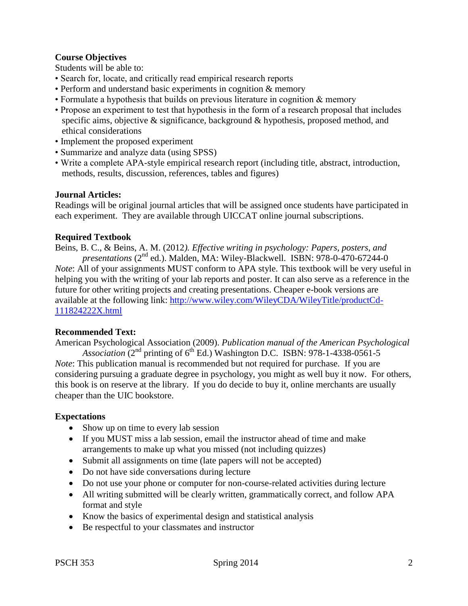# **Course Objectives**

Students will be able to:

- Search for, locate, and critically read empirical research reports
- Perform and understand basic experiments in cognition & memory
- Formulate a hypothesis that builds on previous literature in cognition & memory
- Propose an experiment to test that hypothesis in the form of a research proposal that includes specific aims, objective & significance, background & hypothesis, proposed method, and ethical considerations
- Implement the proposed experiment
- Summarize and analyze data (using SPSS)
- Write a complete APA-style empirical research report (including title, abstract, introduction, methods, results, discussion, references, tables and figures)

#### **Journal Articles:**

Readings will be original journal articles that will be assigned once students have participated in each experiment. They are available through UICCAT online journal subscriptions.

### **Required Textbook**

Beins, B. C., & Beins, A. M. (2012*). Effective writing in psychology: Papers, posters, and presentations* (2nd ed.). Malden, MA: Wiley-Blackwell. ISBN: 978-0-470-67244-0 *Note*: All of your assignments MUST conform to APA style. This textbook will be very useful in helping you with the writing of your lab reports and poster. It can also serve as a reference in the future for other writing projects and creating presentations. Cheaper e-book versions are available at the following link: [http://www.wiley.com/WileyCDA/WileyTitle/productCd-](http://www.wiley.com/WileyCDA/WileyTitle/productCd-111824222X.html)[111824222X.html](http://www.wiley.com/WileyCDA/WileyTitle/productCd-111824222X.html)

#### **Recommended Text:**

American Psychological Association (2009). *Publication manual of the American Psychological Association*  $(2^{nd}$  printing of  $6^{th}$  Ed.) Washington D.C. ISBN: 978-1-4338-0561-5

*Note*: This publication manual is recommended but not required for purchase. If you are considering pursuing a graduate degree in psychology, you might as well buy it now. For others, this book is on reserve at the library. If you do decide to buy it, online merchants are usually cheaper than the UIC bookstore.

### **Expectations**

- Show up on time to every lab session
- If you MUST miss a lab session, email the instructor ahead of time and make arrangements to make up what you missed (not including quizzes)
- Submit all assignments on time (late papers will not be accepted)
- Do not have side conversations during lecture
- Do not use your phone or computer for non-course-related activities during lecture
- All writing submitted will be clearly written, grammatically correct, and follow APA format and style
- Know the basics of experimental design and statistical analysis
- Be respectful to your classmates and instructor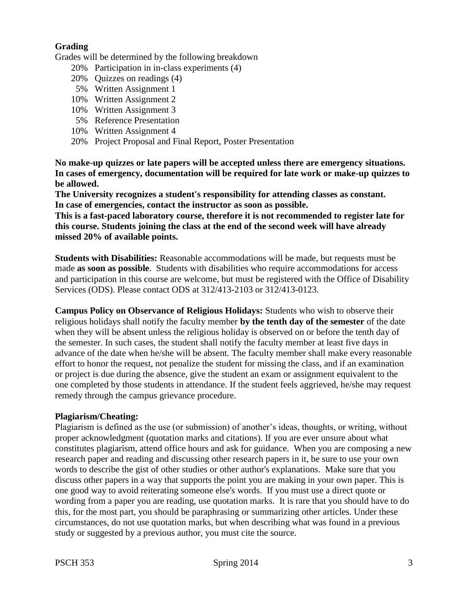## **Grading**

Grades will be determined by the following breakdown

- 20% Participation in in-class experiments (4)
- 20% Quizzes on readings (4)
- 5% Written Assignment 1
- 10% Written Assignment 2
- 10% Written Assignment 3
- 5% Reference Presentation
- 10% Written Assignment 4
- 20% Project Proposal and Final Report, Poster Presentation

**No make-up quizzes or late papers will be accepted unless there are emergency situations. In cases of emergency, documentation will be required for late work or make-up quizzes to be allowed.** 

**The University recognizes a student's responsibility for attending classes as constant. In case of emergencies, contact the instructor as soon as possible.**

**This is a fast-paced laboratory course, therefore it is not recommended to register late for this course. Students joining the class at the end of the second week will have already missed 20% of available points.**

**Students with Disabilities:** Reasonable accommodations will be made, but requests must be made **as soon as possible**. Students with disabilities who require accommodations for access and participation in this course are welcome, but must be registered with the Office of Disability Services (ODS). Please contact ODS at 312/413-2103 or 312/413-0123.

**Campus Policy on Observance of Religious Holidays:** Students who wish to observe their religious holidays shall notify the faculty member **by the tenth day of the semester** of the date when they will be absent unless the religious holiday is observed on or before the tenth day of the semester. In such cases, the student shall notify the faculty member at least five days in advance of the date when he/she will be absent. The faculty member shall make every reasonable effort to honor the request, not penalize the student for missing the class, and if an examination or project is due during the absence, give the student an exam or assignment equivalent to the one completed by those students in attendance. If the student feels aggrieved, he/she may request remedy through the campus grievance procedure.

#### **Plagiarism/Cheating:**

Plagiarism is defined as the use (or submission) of another's ideas, thoughts, or writing, without proper acknowledgment (quotation marks and citations). If you are ever unsure about what constitutes plagiarism, attend office hours and ask for guidance. When you are composing a new research paper and reading and discussing other research papers in it, be sure to use your own words to describe the gist of other studies or other author's explanations. Make sure that you discuss other papers in a way that supports the point you are making in your own paper. This is one good way to avoid reiterating someone else's words. If you must use a direct quote or wording from a paper you are reading, use quotation marks. It is rare that you should have to do this, for the most part, you should be paraphrasing or summarizing other articles. Under these circumstances, do not use quotation marks, but when describing what was found in a previous study or suggested by a previous author, you must cite the source.